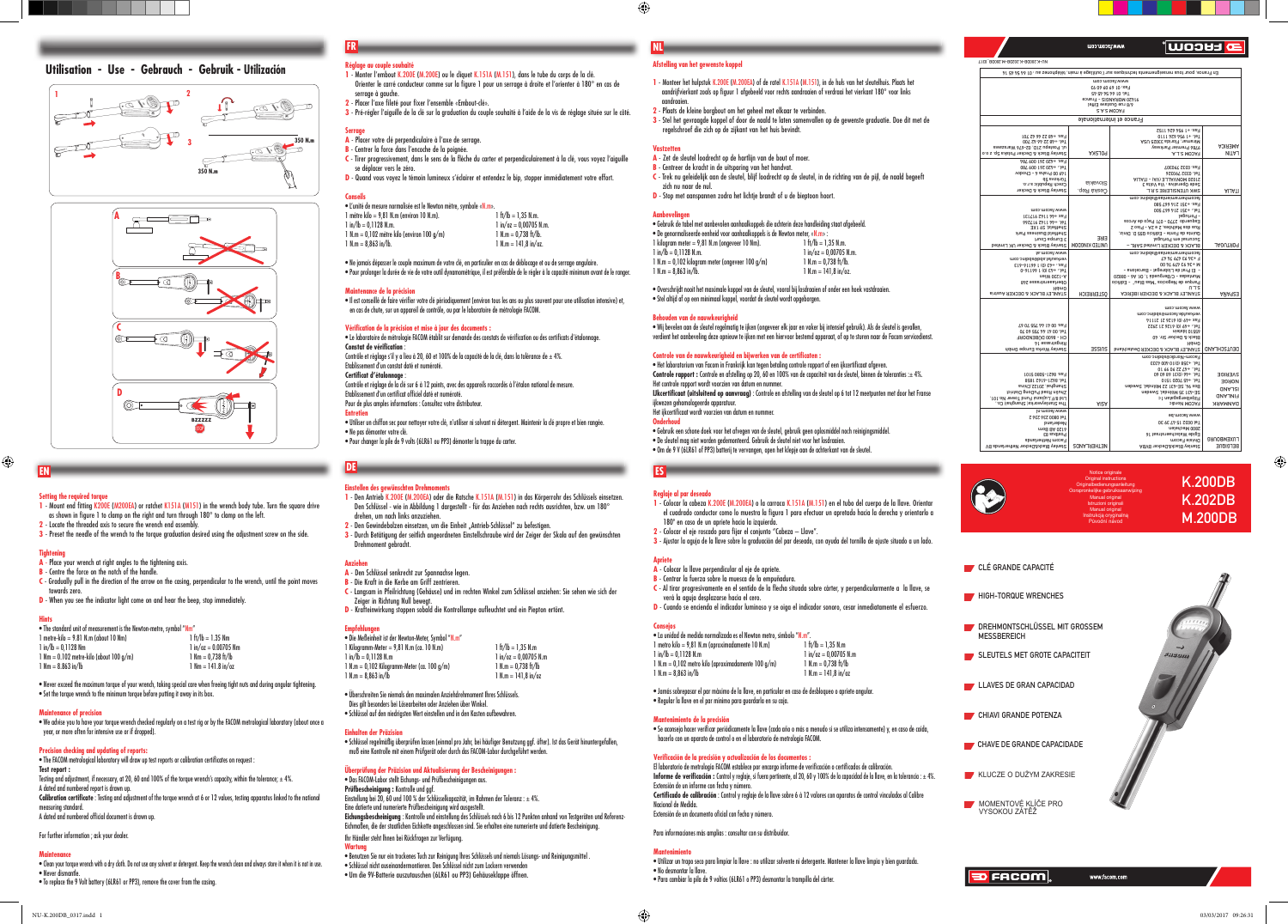# **Afstelling van het gewenste koppel**

- **A** Zet de sleutel loodrecht op de hartlijn van de bout of moer.
- **B** Centreer de kracht in de uitsparing van het handvat.
- **C** Trek nu geleidelijk aan de sleutel, blijf loodrecht op de sleutel, in de richting van de pijl, de naald begeeft zich nu naar de nul.
- **D** Stop met aanspannen zodra het lichtie brandt of u de bieptoon hoort.
- **1** Monteer het hulpstuk K.200E (M.200EA) of de ratel K.151A (M.151), in de huls van het sleutelhuis. Plaats het aandrijfvierkant zoals op figuur 1 afgebeeld voor rechts aandraaien of verdraai het vierkant 180° voor links aandraaien.
- **2** Plaats de kleine borgbout om het geheel met elkaar te verbinden.
- **3** Stel het gevraagde koppel af door de naald te laten samenvallen op de gewenste graduatie. Doe dit met de regelschroef die zich op de zijkant van het huis bevindt.

#### **Vastzetten**

# **Aanbevelingen**

| • Gebruik de tabel met aanbevolen aanhaalkoppels die achterin deze handleiding staat afgebeeld. |                          |
|-------------------------------------------------------------------------------------------------|--------------------------|
| $\bullet$ De genormaliseerde eenheid voor aanhaalkoppels is de Newton meter, «N.m»:             |                          |
| 1 kilogram meter = 9,81 N.m (ongeveer 10 Nm).                                                   | $1 ft/lb = 1.35 N.m.$    |
| $1$ in/ $\mathsf{lb} = 0.1128$ N.m.                                                             | $1 in/cz = 0.00705 N.m.$ |
| 1 N.m = 0,102 kilogram meter (ongeveer $100 q/m$ )                                              | $1 N.m = 0.738 ft/lb.$   |
| $1 N.m = 8.863 in/h.$                                                                           | $1$ N.m = 141.8 in/oz.   |
|                                                                                                 |                          |

• Overschrijdt nooit het maximale koppel van de sleutel, vooral bij losdraaien of onder een hoek vastdraaien. • Stel altijd af op een minimaal koppel, voordat de sleutel wordt opgeborgen.

# **Behouden van de nauwkeurigheid**

- **A** Den Schlüssel senkrecht zur Spannachse legen.
- **B** Die Kraft in die Kerbe am Griff zentrieren.
- **C** Langsam in Pfeilrichtung (Gehäuse) und im rechten Winkel zum Schlüssel anziehen: Sie sehen wie sich der Zeiger in Richtung Null bewegt.

D - Krafteinwirkung stoppen sobald die Kontrollampe aufleuchtet und ein Piepton ertönt

• Wij bevelen aan de sleutel regelmatig te ijken (ongeveer elk jaar en vaker bij intensief gebruik). Als de sleutel is gevallen, verdient het aanbeveling deze opnieuw te ijken met een hiervoor bestemd apparaat, of op te sturen naar de Facom servicedienst.

#### **Controle van de nauwkeurigheid en bijwerken van de certifi caten :**

• Het laboratorium van Facom in Frankrijk kan tegen betaling controle rapport of een ijkcertifi caat afgeven. **Controle rapport :** Controle en afstelling op 20, 60 en 100% van de capaciteit van de sleutel, binnen de toleranties :± 4%. Het controle rapport wordt voorzien van datum en nummer.

• Schlüssel regelmäßig überprüfen lassen (einmal pro Jahr, bei häufiger Benutzung ggf. öfter). Ist das Gerät hinuntergefallen muß eine Kontrolle mit einem Prüfgerät oder durch das FACOM-Labor durchgeführt werden.

**IJkcertifi caat (uitsluitend op aanvraag)** : Controle en afstelling van de sleutel op 6 tot 12 meetpunten met door het Franse ijkwezen gehomologeerde apparatuur.

Het ijkcertifi caat wordt voorzien van datum en nummer.

## **Onderhoud**

• Gebruik een schone doek voor het afvegen van de sleutel, gebruik geen oplosmiddel noch reinigingsmiddel.

- De sleutel mag niet worden gedemonteerd. Gebruik de sleutel niet voor het losdraaien.
- Om de 9 V (6LR61 of PP3) batterij te vervangen, open het klepje aan de achterkant van de sleutel.

- **Einstellen des gewünschten Drehmoments 1** - Den Antrieb K.200E (M.200EA) oder die Ratsche K.151A (M.151) in das Körperrohr des Schlüssels einsetzen. Den Schlüssel - wie in Abbildung 1 dargestellt - für das Anziehen nach rechts ausrichten, bzw. um 180° drehen, um nach links anzuziehen.
- **2** Den Gewindebolzen einsetzen, um die Einheit «Antrieb-Schlüssel" zu befestigen.<br>2 Den Gewindebolzen einsetzen, um die Einheit «Antrieb-Schlüssel" zu befestigen.
- **3** Durch Betätigung der seitlich angeordneten Einstellschraube wird der Zeiger der Skala auf den gewünschten Drehmoment gebracht.

#### **Anziehen**

• Il est conseillé de faire vérifier votre clé périodiquement (environ tous les ans ou plus souvent pour une utilisation intensive) et, en cas de chute, sur un appareil de contrôle, ou par le laboratoire de métrologie FACOM.

# **Empfehlungen**

Etablissement d'un constat daté et numéroté. **Certificat d'étalonnage** 

| • Die Meßeinheit ist der Newton-Meter. Symbol "N.m" |                         |
|-----------------------------------------------------|-------------------------|
| 1 Kilogramm-Meter = 9,81 N.m (ca. 10 N.m)           | $1 ft/lb = 1.35 N.m$    |
| 1 in/lb = 0.1128 N.m                                | $1$ in/oz = 0.00705 N.m |
| $1$ N.m $= 0.102$ Kiloaramm-Meter (ca. 100 a/m)     | $1 N.m = 0.738 ft/lb$   |
| $1 N.m = 8,863 in/lb$                               | $1$ N.m = 141.8 in/oz   |

• Überschreiten Sie niemals den maximalen Anziehdrehmoment Ihres Schlüssels. Dies gilt besonders bei Lösearbeiten oder Anziehen über Winkel.

• Schlüssel auf den niedrigsten Wert einstellen und in den Kasten aufbewahren.

# **Einhalten der Präzision**

- **A** Place your wrench at right angles to the tightening axis.
- **B** Centre the force on the notch of the handle. **C** - Gradually pull in the direction of the arrow on the casing, perpendicular to the wrench, until the point moves towards zero.
- **D** When you see the indicator light come on and hear the beep, stop immediately

### **Überprüfung der Präzision und Aktualisierung der Bescheinigungen :**

• Das FACOM-Labor stellt Eichungs- und Prüfbescheinigungen aus. **Prüfbescheinigung :** Kontrolle und ggf. Einstellung bei 20, 60 und 100 % der Schlüsselkapazität, im Rahmen der Toleranz : ± 4%. Eine datierte und numerierte Prüfbescheinigung wird ausgestellt. **Eichungsbescheinigung** : Kontrolle und einstellung des Schlüssels nach 6 bis 12 Punkten anhand von Testgeräten und Referenz-Eichmaßen, die der staatlichen Eichkette angeschlossen sind. Sie erhalten eine numerierte und datierte Bescheinigung. Ihr Händler steht lhnen bei Rückfragen zur Verfügung.

**Test report :** Testing and adjustment, if necessary, at 20, 60 and 100% of the torque wrench's capacity, within the tolerance;  $\pm$  4%. A dated and numbered report is drawn up. Calibration certificate : Testing and adjustment of the torque wrench at 6 or 12 values, testing apparatus linked to the national measuring standard. A dated and numbered official document is drawn up.

# **Wartung**

• Benutzen Sie nur ein trockenes Tuch zur Reinigung lhres Schlüssels und niemals Lösungs- und Reinigungsmittel . • Schlüssel nicht auseinandermontieren. Den Schlüssel nicht zum Lockern verwenden • Um die 9V-Batterie auszutauschen (6LR61 ou PP3) Gehäuseklappe öffnen.

 $\bigoplus$ 

# **Réglage au couple souhaité**

**1** - Monter l'embout K.200E (M.200E) ou le cliquet K.151A (M.151), dans le tube du corps de la clé. Orienter le carré conducteur comme sur la figure 1 pour un serrage à droite et l'orienter à 180° en cas de serrage à gauche.

> **B** - Centrar la fuerza sobre la muesca de la empuñadura. C - Al tirar progresivamente en el sentido de la flecha situada sobre cárter, y perpendicularmente a la llave, se

 $\bullet$  La unidad de medida normalizada es el Newton metro, símbolo "N.m".<br>1 metro kilo = 9,81 N.m (aproximadamente 10 N.m) 1 ft/lb = 1,35 N.m

1 N.m = 0,102 metro kilo (aproximadamente 100 g/m)  $1$  N.m = 0,738 ft/lb<br>1 N m = 8,863 in/lb

**2** - Placer l'axe fi leté pour fi xer l'ensemble «Embout-clé».

3 - Pré-régler l'aiguille de la clé sur la graduation du couple souhaité à l'aide de la vis de réglage située sur le côté.

### **Serrage**

- **A** Placer votre clé perpendiculaire à l'axe de serrage. **B** - Centrer la force dans l'encoche de la poignée.
- **C** Tirer progressivement, dans le sens de la flèche du carter et perpendiculairement à la clé, vous voyez l'aiguille se déplacer vers le zéro.
- **D** Quand vous voyez le témoin lumineux s'éclairer et entendez le bip, stopper immédiatement votre effort.

# **Conseils**

| • L'unité de mesure normalisée est le Newton mètre, symbole «N.m». |                          |
|--------------------------------------------------------------------|--------------------------|
| 1 mètre kilo = 9,81 N.m (environ 10 N.m).                          | $1 ft/lb = 1.35 N.m.$    |
| $1$ in/ $\mathsf{lb} = 0.1128$ N.m.                                | $1$ in/oz = 0.00705 N.m. |
| $1$ N.m = 0,102 mètre kilo (environ 100 q/m)                       | $1 N.m = 0.738 ft/lb.$   |
| $1 N.m = 8,863 in/h.$                                              | $1$ N.m = 141,8 in/oz.   |

Extensión de un documento oficial con fecha y número. Para informaciones más amplias : consultar con su distribuidor.

• Ne jamais dépasser le couple maximum de votre clé, en particulier en cas de déblocage et ou de serrage angulaire. • Pour prolonger la durée de vie de votre outil dynamométrique, il est préférable de le régler à la capacité minimum avant de le ranger.

#### **Maintenance de la précision**

## **Vérifi cation de la précision et mise à jour des documents :**

• Le laboratoire de métrologie FACOM établit sur demande des constats de vérifi cation ou des certifi cats d'étalonnage.

# Constat de vérification

Contrôle et réglage s'il y a lieu à 20, 60 et 100% de la capacité de la clé, dans la tolérance de  $\pm$  4%.

Contrôle et réglage de la clé sur 6 à 12 points, avec des appareils raccordés à l'étalon national de mesure.

Etablissement d'un certificat officiel daté et numéroté.

Pour de plus amples informations : Consultez votre distributeur

#### **Entretien**

• Utiliser un chiffon sec pour nettoyer votre clé, n'utiliser ni solvant ni détergent. Maintenir la clé propre et bien rangée. • Ne pas démonter votre clé.

• Pour changer la pile de 9 volts (6LR61 ou PP3) démonter la trappe du carter.

# **Setting the required torque**

- **1** Mount end fitting K200E (M200EA) or ratchet K151A (M151) in the wrench body tube. Turn the square drive as shown in figure 1 to clamp on the right and turn through 180° to clamp on the left.
- **2**  Locate the threaded axis to secure the wrench end assembly.
- **3** Preset the needle of the wrench to the torque graduation desired using the adjustment screw on the side.

### **Tightening**

# **Hints**

|  |  | . The standard unit of measurement is the Newton-metre, symbol "Nm" |  |
|--|--|---------------------------------------------------------------------|--|
|  |  |                                                                     |  |

| $1$ metre-kilo = 9.81 N.m (about 10 Nm)           | $1 ft/lb = 1.35 Nm$                  |
|---------------------------------------------------|--------------------------------------|
| $1$ in/ $\mathsf{lb} = 0.1128$ Nm                 | $1 in / oz = 0.00705 Nm$             |
| $1 \text{ Nm} = 0.102$ metre-kilo (about 100 a/m) | $1 \text{ Nm} = 0.738 \text{ ft/lb}$ |
| $1 \text{ Nm} = 8.863 \text{ in/lb}$              | $1 Nm = 141.8$ in/oz                 |
|                                                   |                                      |

• Never exceed the maximum torque of your wrench, taking special care when freeing tight nuts and during angular tightening. • Set the torque wrench to the minimum torque before putting it away in its box.

# **Maintenance of precision**

• We advise you to have your torque wrench checked regularly on a test rig or by the FACOM metrological laboratory (about once a year, or more often for intensive use or if dropped).

# **Precision checking and updating of reports:**

 $\bullet$  The FACOM metrological laboratory will draw up test reports or calibration certificates on request :

For further information ; ask your dealer.

# **Maintenance**

#### • Clean your torque wrench with a dry cloth. Do not use any solvent or detergent. Keep the wrench clean and always store it when it is not in use. • Never dismantle. • To replace the 9 Volt battery (6LR61 or PP3), remove the cover from the casing.

# **EN DE**

**NL**

**Utilisation - Use - Gebrauch - Gebruik - Utilización**

# **FR**





# **Reglaje al par deseado**

- **1** Colocar la cabeza K.200E (M.200EA) o la carraca K.151A (M.151) en el tubo del cuerpo de la llave. Orientar el cuadrado conductor como lo muestra la figura 1 para efectuar un apretado hacia la derecha y orientarlo a 180º en caso de un apriete hacia la izquierda.
- 2 Colocar el eje roscado para fijar el conjunto "Cabeza Llave".
- **3** Ajustar la aguja de la llave sobre la graduación del par deseado, con ayuda del tornillo de ajuste situado a un lado.

**D** - Cuando se encienda el indicador luminoso y se oiga el indicador sonoro, cesar inmediatamente el esfuerzo.

#### **Apriete**

**A** - Colocar la llave perpendicular al eje de apriete.

verá la aguja desplazarse hacia el cero.

1 metro kilo = 9,81 N.m (aproximadamente 10 N.m)<br>1 in/lb = 0,1128 N.m

**Consejos**

 $1 \text{ N.m} = 8.863 \text{ in/lb}$ 

• Jamás sobrepasar el par máximo de la llave, en particular en caso de desbloqueo o apriete angular.

**u**ooud

июэ шоэв, ммм

• Regular la llave en el par mínimo para guardarla en su caja.

**Mantenimiento de la precisión**

• Se aconseja hacer verifi car periódicamente la llave (cada año o más a menudo si se utiliza intensamente) y, en caso de caída,

Informe de verificación : Control y reglaje, si fuera pertinente, al 20, 60 y 100% de la capacidad de la llave, en la tolerancia : ± 4%.

 hacerlo con un aparato de control o en el laboratorio de metrología FACOM. **Verifi cación de la precisión y actualización de los documentos :**

Extensión de un informe con fecha y número.

**Certifi cado de calibración** : Control y reglaje de la llave sobre 6 à 12 valores con aparatos de control vinculados al Calibre

Nacional de Medida.

**Mantenimiento**

• Utilizar un trapo seco para limpiar la llave : no utilizar solvente ni detergente. Mantener la llave limpia y bien guardada.

El laboratorio de metrología FACOM establece por encargo informe de verificación o certificados de calibración.

1 in/oz = 0,00705 N.m<br>1 N.m = 0.738 ft/lb

• No desmontar la llave.

• Para cambiar la pila de 9 voltios (6LR61 o PP3) desmontar la trampilla del cárter.

# **ES**



|  | NU-K.200DB-K.202DB-M.200DB_0317 |  |  |  |
|--|---------------------------------|--|--|--|

# K.200DB K.202DB M.200DB

 $\bigoplus$ 

Notice originale Original instructions Originalbedienungsanleitung Oorspronkelijke gebruiksaanwijzing Manual original Istruzioni originali Manual original Instrukcją oryginalną Původní návod



|                                                                                                                                           |                                                                                                   |                               | En France, pour tous renseignements techniques sur l'outillage à main, téléphonez au : 01 64 54 45 14                                                                                                                                                                       |                                                                              |
|-------------------------------------------------------------------------------------------------------------------------------------------|---------------------------------------------------------------------------------------------------|-------------------------------|-----------------------------------------------------------------------------------------------------------------------------------------------------------------------------------------------------------------------------------------------------------------------------|------------------------------------------------------------------------------|
|                                                                                                                                           |                                                                                                   |                               | www.facom.com<br>Fax: 01 69 09 60 93<br>ED 57 75 79 10 191<br>91420 MORANGIS - France<br>5/8 rue Gustave Eiffel<br><b>EA.COM S.A.S</b>                                                                                                                                      |                                                                              |
|                                                                                                                                           |                                                                                                   |                               | France et internationale                                                                                                                                                                                                                                                    |                                                                              |
| Fax: +48 22 44 42 701<br>007 SA 54 SC 84+ JeT<br>ul. Postepu 21D, 02-676 Warszawa<br>Stanley Black & Decker Polska Sp. z o.o              |                                                                                                   | <b>POLSKA</b>                 | Fax: +1 954 624 1152<br>0111 729 756 1+ 191<br>Miramar, Florida 33025 USA<br>9786 Premier Parkway<br>A.J.2 MOJAR                                                                                                                                                            | <b>AMERICA</b><br><b>NITAJ</b>                                               |
| Fax. +420 261 009 784<br>Tel.: +420 261 009 780<br>149 00 Praha 4 - Chodov<br>Czech Republic s.r.o.<br>Stanley Black & Decker             | Türkova 5b                                                                                        | <b>Slovakia</b><br>Ceská Rep. | Fax: 0332 790307<br>16F 0333 360339<br>AIJATI - (AV) ELLAVNOM 0S01S<br>E stloV siV : svits agO sbs2<br><b>SWK UTENSILERIE S.R.L.</b>                                                                                                                                        | <b>AIJATI</b>                                                                |
| <b>LEILL6 2711 77+ XB3</b><br>865 +44 1147 9177<br>Sheffield Business Park<br>Stanley Black & Decker UK Limited                           | moo.moosi.www<br>Sheffield, S9 1XE<br>3 Europa Court                                              | EIRE<br><b>UNITED KINGDOM</b> | facomherramientas@sbdinc.com<br>Fax: +351 214 667 580<br>Tel.: +351 214 667 500<br>- Portugal<br>Esquerdo 2770 - 071 Paço de Arcos<br>Rua dos Malhöes, 2 e 2A - Piso 2<br>Quinta da Fonte - Edifício Q55 D. Diniz,<br>Sucursal em Portugal<br>BLACK & DECKER Limited SARL - | PORTUGAL                                                                     |
| verkaufat.sbdesbdinc.com<br>$E19 - 911991(0)E7 + 784$<br>197: +43 (0) 1 64116-0<br>Oberlaserstrasse 248<br>STANLEY BLACK & DECKER Austria | f6.moo61.www<br>A-1230 Wien<br>Hdma                                                               | <b>OSTERREICH</b>             | facomherramientas@sbdinc.com<br>F +34 93 479 74 47<br>00 74 647 86 78 + N<br>- El Prat de Llobregat - Barcelona -<br>Muntadas - C/Bergueda 1, Of. A6 - 08820<br>Parque de Negocios "Mas Blau" - Edificio<br>n TS<br>STANLEY BLACK & DECKER IBÉRICA                          | <b>AÑA923</b>                                                                |
| Fax: 00 41 44 755 70 75<br>07 06 41 44 755 60 70<br>CH - 8900 DNBENDOKL<br>Stanley Works Europe Gmbh                                      | Ringstrasse 14                                                                                    | <b>ESSINS</b>                 | www.facom.com<br>verkaufde.facom@sbuinc.com<br>41112 12 2219 (0) 47+ XB<br>Tel.: +49 (0) 6126 21 2922<br>dietabl 01226<br>Black & Decker Str. 40<br>Hqwg<br>STANLEY BLACK & DECKER Deutschland                                                                              | <b>DEUTSCHLAND</b>                                                           |
| Shanghai, 20122, China<br>Zhulin Road PuDong District<br>Ltd 8/F.Lujiazui Fund Tower No.101,<br>The Stanleyworks (Shanghai) Co            | Fax: 8621-5080 5101<br>8981 Z919-1Z98 191                                                         | <b>AI2A</b>                   | Facom-Nordic@sbdinc.com<br>Tel. +358 (0)10 400 4333<br>Tel +47 22 90 99 10<br>09 09 89 16(0) 97+ 19T<br>Tel. +45 7020 1510<br>Box 94, SE-431 22 Mölndal, Sweden<br>SE-431 35 Mölndal, Sweden<br>Flöjelbergsgatan 1c<br>FACOM Nordic                                         | <b>SVERIGE</b><br><b>NORGE</b><br><b>GNAJSI</b><br><b>EINLAND</b><br>NAMMARK |
| Stanley Black&Decker Netherlands BV                                                                                                       | Jn.moost.www<br>Tel 0800 236 236 2<br>Nederland<br>moB 8A 0S18<br>Postbus 83<br>Facom Netherlands | NETHERLANDS                   | www.facom.be<br>Tel 0032 15 47 39 30<br>2800 Mechelen<br>Egide Walschaerstraat 16<br>Divisie Facom<br>Stanley Black&Decker BVBA                                                                                                                                             | <b><i>FNXEWBONKG</i></b><br><b>BELGIQUE</b>                                  |